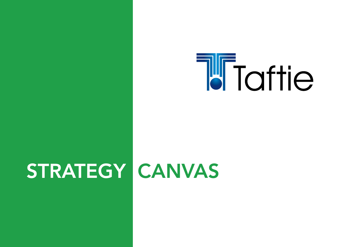

# STRATEGY CANVAS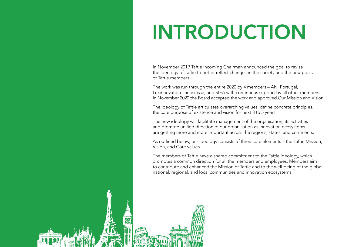# INTRODUCTION

In November 2019 Taftie incoming Chairman announced the goal to revise the ideology of Taftie to better reflect changes in the society and the new goals of Taftie members.

The work was run through the entire 2020 by 4 members – ANI Portugal, Luxinnovation. Innosuisse, and SIEA with continuous support by all other members. In November 2020 the Board accepted the work and approved Our Mission and Vision.

The ideology of Taftie articulates overarching values, define concrete principles, the core purpose of existence and vision for next 3 to 5 years.

The new ideology will facilitate management of the organisation, its activities and promote unified direction of our organisation as innovation ecosystems are getting more and more important across the regions, states, and continents.

As outlined below, our ideology consists of three core elements – the Taftie Mission, Vision, and Core values.

The members of Taftie have a shared commitment to the Taftie ideology, which promotes a common direction for all the members and employees. Members aim to contribute and enhanced the Mission of Taftie and to the well-being of the global, national, regional, and local communities and innovation ecosystems.

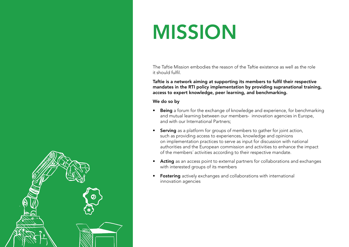### MISSION

The Taftie Mission embodies the reason of the Taftie existence as well as the role it should fulfil.

Taftie is a network aiming at supporting its members to fulfil their respective mandates in the RTI policy implementation by providing supranational training, access to expert knowledge, peer learning, and benchmarking.

We do so by

- Being a forum for the exchange of knowledge and experience, for benchmarking and mutual learning between our members- innovation agencies in Europe, and with our International Partners;
- Serving as a platform for groups of members to gather for joint action, such as providing access to experiences, knowledge and opinions on implementation practices to serve as input for discussion with national authorities and the European commission and activities to enhance the impact of the members´ activities according to their respective mandate.
- Acting as an access point to external partners for collaborations and exchanges with interested groups of its members
- **Fostering** actively exchanges and collaborations with international innovation agencies

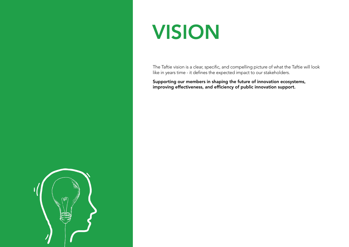#### VISION

The Taftie vision is a clear, specific, and compelling picture of what the Taftie will look like in years time - it defines the expected impact to our stakeholders.

Supporting our members in shaping the future of innovation ecosystems, improving effectiveness, and efficiency of public innovation support.

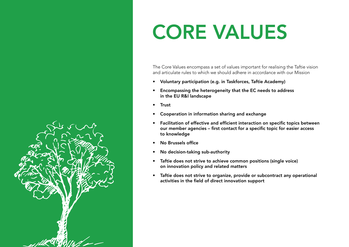

## CORE VALUES

The Core Values encompass a set of values important for realising the Taftie vision and articulate rules to which we should adhere in accordance with our Mission

- Voluntary participation (e.g. in Taskforces, Taftie Academy)
- Encompassing the heterogeneity that the EC needs to address in the EU R&I landscape
- Trust
- Cooperation in information sharing and exchange
- Facilitation of effective and efficient interaction on specific topics between our member agencies – first contact for a specific topic for easier access to knowledge
- No Brussels office
- No decision-taking sub-authority
- Taftie does not strive to achieve common positions (single voice) on innovation policy and related matters
- Taftie does not strive to organize, provide or subcontract any operational activities in the field of direct innovation support